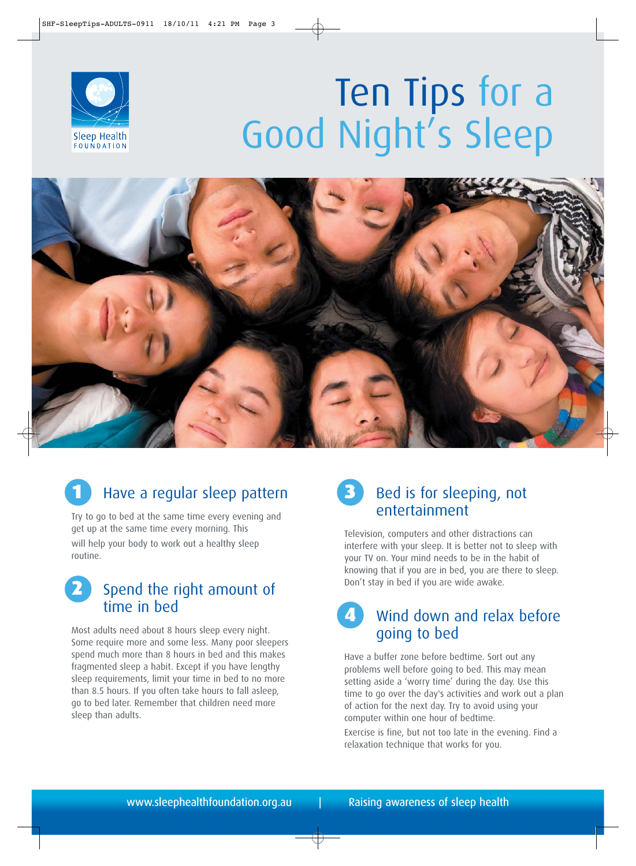

# Ten Tips for a Good Night's Sleep



# Have a regular sleep pattern

Try to go to bed at the same time every evening and get up at the same time every morning. This will help your body to work out a healthy sleep routine.

#### Spend the right amount of time in bed

Most adults need about 8 hours sleep every night. Some require more and some less. Many poor sleepers spend much more than 8 hours in bed and this makes fragmented sleep a habit. Except if you have lengthy sleep requirements, limit your time in bed to no more than 8.5 hours. If you often take hours to fall asleep, go to bed later. Remember that children need more sleep than adults.

### Bed is for sleeping, not entertainment

Television, computers and other distractions can interfere with your sleep. It is better not to sleep with your TV on. Your mind needs to be in the habit of knowing that if you are in bed, you are there to sleep. Don't stay in bed if you are wide awake.

## Wind down and relax before going to bed

Have a buffer zone before bedtime. Sort out any problems well before going to bed. This may mean setting aside a 'worry time' during the day. Use this time to go over the day's activities and work out a plan of action for the next day. Try to avoid using your computer within one hour of bedtime.

Exercise is fine, but not too late in the evening. Find a relaxation technique that works for you.